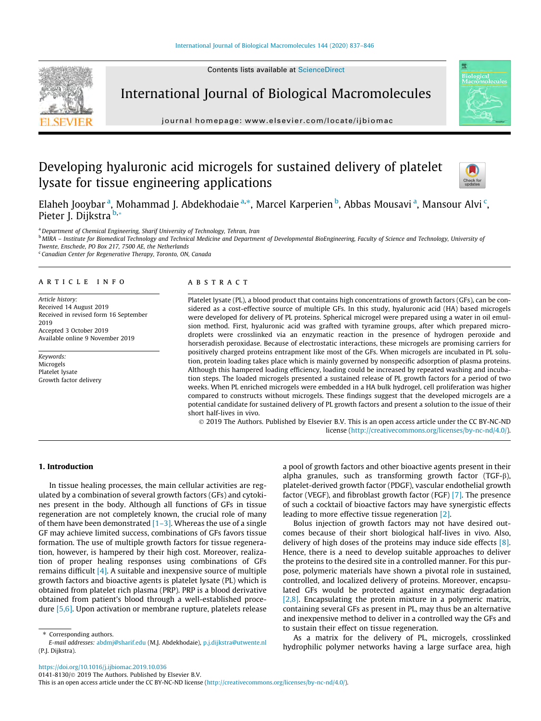

International Journal of Biological Macromolecules

journal homepage: [www.elsevier.com/locate/ijbiomac](http://www.elsevier.com/locate/ijbiomac)

# Developing hyaluronic acid microgels for sustained delivery of platelet lysate for tissue engineering applications



Elaheh Jooybar <sup>a</sup>, Mohammad J. Abdekhodaie <sup>a,</sup>\*, Marcel Karperien <sup>b</sup>, Abbas Mousavi <sup>a</sup>, Mansour Alvi <sup>c</sup>, Pieter J. Dijkstra <sup>b,</sup>\*

<sup>a</sup> Department of Chemical Engineering, Sharif University of Technology, Tehran, Iran

**b** MIRA – Institute for Biomedical Technology and Technical Medicine and Department of Developmental BioEngineering, Faculty of Science and Technology, University of Twente, Enschede, PO Box 217, 7500 AE, the Netherlands

<sup>c</sup> Canadian Center for Regenerative Therapy, Toronto, ON, Canada

## article info

Article history: Received 14 August 2019 Received in revised form 16 September 2019 Accepted 3 October 2019 Available online 9 November 2019

Keywords: Microgels Platelet lysate Growth factor delivery

## ABSTRACT

Platelet lysate (PL), a blood product that contains high concentrations of growth factors (GFs), can be considered as a cost-effective source of multiple GFs. In this study, hyaluronic acid (HA) based microgels were developed for delivery of PL proteins. Spherical microgel were prepared using a water in oil emulsion method. First, hyaluronic acid was grafted with tyramine groups, after which prepared microdroplets were crosslinked via an enzymatic reaction in the presence of hydrogen peroxide and horseradish peroxidase. Because of electrostatic interactions, these microgels are promising carriers for positively charged proteins entrapment like most of the GFs. When microgels are incubated in PL solution, protein loading takes place which is mainly governed by nonspecific adsorption of plasma proteins. Although this hampered loading efficiency, loading could be increased by repeated washing and incubation steps. The loaded microgels presented a sustained release of PL growth factors for a period of two weeks. When PL enriched microgels were embedded in a HA bulk hydrogel, cell proliferation was higher compared to constructs without microgels. These findings suggest that the developed microgels are a potential candidate for sustained delivery of PL growth factors and present a solution to the issue of their short half-lives in vivo.

 2019 The Authors. Published by Elsevier B.V. This is an open access article under the CC BY-NC-ND license (<http://creativecommons.org/licenses/by-nc-nd/4.0/>).

# 1. Introduction

In tissue healing processes, the main cellular activities are regulated by a combination of several growth factors (GFs) and cytokines present in the body. Although all functions of GFs in tissue regeneration are not completely known, the crucial role of many of them have been demonstrated  $[1-3]$ . Whereas the use of a single GF may achieve limited success, combinations of GFs favors tissue formation. The use of multiple growth factors for tissue regeneration, however, is hampered by their high cost. Moreover, realization of proper healing responses using combinations of GFs remains difficult [\[4\].](#page-8-0) A suitable and inexpensive source of multiple growth factors and bioactive agents is platelet lysate (PL) which is obtained from platelet rich plasma (PRP). PRP is a blood derivative obtained from patient's blood through a well-established procedure [\[5,6\].](#page-8-0) Upon activation or membrane rupture, platelets release a pool of growth factors and other bioactive agents present in their alpha granules, such as transforming growth factor (TGF- $\beta$ ), platelet-derived growth factor (PDGF), vascular endothelial growth factor (VEGF), and fibroblast growth factor (FGF) [\[7\]](#page-8-0). The presence of such a cocktail of bioactive factors may have synergistic effects leading to more effective tissue regeneration [\[2\]](#page-8-0).

Bolus injection of growth factors may not have desired outcomes because of their short biological half-lives in vivo. Also, delivery of high doses of the proteins may induce side effects [\[8\].](#page-8-0) Hence, there is a need to develop suitable approaches to deliver the proteins to the desired site in a controlled manner. For this purpose, polymeric materials have shown a pivotal role in sustained, controlled, and localized delivery of proteins. Moreover, encapsulated GFs would be protected against enzymatic degradation [\[2,8\].](#page-8-0) Encapsulating the protein mixture in a polymeric matrix, containing several GFs as present in PL, may thus be an alternative and inexpensive method to deliver in a controlled way the GFs and to sustain their effect on tissue regeneration.

As a matrix for the delivery of PL, microgels, crosslinked hydrophilic polymer networks having a large surface area, high

<https://doi.org/10.1016/j.ijbiomac.2019.10.036>

0141-8130/© 2019 The Authors. Published by Elsevier B.V.

<sup>⇑</sup> Corresponding authors.

E-mail addresses: [abdmj@sharif.edu](mailto:abdmj@sharif.edu) (M.J. Abdekhodaie), [p.j.dijkstra@utwente.nl](mailto:p.j.dijkstra@utwente.nl) (P.J. Dijkstra).

This is an open access article under the CC BY-NC-ND license ([http://creativecommons.org/licenses/by-nc-nd/4.0/\)](http://creativecommons.org/licenses/by-nc-nd/4.0/).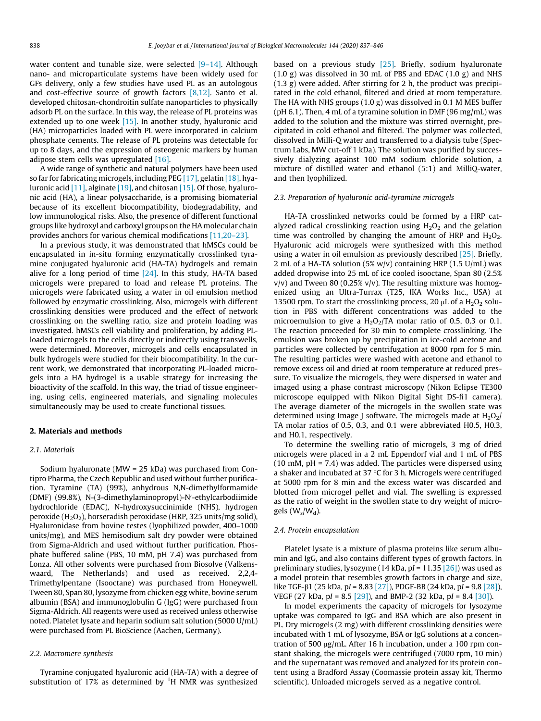water content and tunable size, were selected [\[9–14\]](#page-8-0). Although nano- and microparticulate systems have been widely used for GFs delivery, only a few studies have used PL as an autologous and cost-effective source of growth factors  $[8,12]$ . Santo et al. developed chitosan-chondroitin sulfate nanoparticles to physically adsorb PL on the surface. In this way, the release of PL proteins was extended up to one week [\[15\]](#page-9-0). In another study, hyaluronic acid (HA) microparticles loaded with PL were incorporated in calcium phosphate cements. The release of PL proteins was detectable for up to 8 days, and the expression of osteogenic markers by human adipose stem cells was upregulated [\[16\]](#page-9-0).

A wide range of synthetic and natural polymers have been used so far for fabricating microgels, including PEG [\[17\]](#page-9-0), gelatin [\[18\]](#page-9-0), hya-luronic acid [\[11\],](#page-8-0) alginate [\[19\],](#page-9-0) and chitosan [\[15\]](#page-9-0). Of those, hyaluronic acid (HA), a linear polysaccharide, is a promising biomaterial because of its excellent biocompatibility, biodegradability, and low immunological risks. Also, the presence of different functional groups like hydroxyl and carboxyl groups on the HA molecular chain provides anchors for various chemical modifications [\[11,20–23\]](#page-8-0).

In a previous study, it was demonstrated that hMSCs could be encapsulated in in-situ forming enzymatically crosslinked tyramine conjugated hyaluronic acid (HA-TA) hydrogels and remain alive for a long period of time  $[24]$ . In this study, HA-TA based microgels were prepared to load and release PL proteins. The microgels were fabricated using a water in oil emulsion method followed by enzymatic crosslinking. Also, microgels with different crosslinking densities were produced and the effect of network crosslinking on the swelling ratio, size and protein loading was investigated. hMSCs cell viability and proliferation, by adding PLloaded microgels to the cells directly or indirectly using transwells, were determined. Moreover, microgels and cells encapsulated in bulk hydrogels were studied for their biocompatibility. In the current work, we demonstrated that incorporating PL-loaded microgels into a HA hydrogel is a usable strategy for increasing the bioactivity of the scaffold. In this way, the triad of tissue engineering, using cells, engineered materials, and signaling molecules simultaneously may be used to create functional tissues.

## 2. Materials and methods

## 2.1. Materials

Sodium hyaluronate (MW = 25 kDa) was purchased from Contipro Pharma, the Czech Republic and used without further purification. Tyramine (TA) (99%), anhydrous N,N-dimethylformamide (DMF) (99.8%), N-(3-dimethylaminopropyl)-N'-ethylcarbodiimide hydrochloride (EDAC), N-hydroxysuccinimide (NHS), hydrogen peroxide  $(H_2O_2)$ , horseradish peroxidase (HRP, 325 units/mg solid), Hyaluronidase from bovine testes (lyophilized powder, 400–1000 units/mg), and MES hemisodium salt dry powder were obtained from Sigma-Aldrich and used without further purification. Phosphate buffered saline (PBS, 10 mM, pH 7.4) was purchased from Lonza. All other solvents were purchased from Biosolve (Valkenswaard, The Netherlands) and used as received. 2,2,4- Trimethylpentane (Isooctane) was purchased from Honeywell. Tween 80, Span 80, lysozyme from chicken egg white, bovine serum albumin (BSA) and immunoglobulin G (IgG) were purchased from Sigma-Aldrich. All reagents were used as received unless otherwise noted. Platelet lysate and heparin sodium salt solution (5000 U/mL) were purchased from PL BioScience (Aachen, Germany).

#### 2.2. Macromere synthesis

Tyramine conjugated hyaluronic acid (HA-TA) with a degree of substitution of 17% as determined by  ${}^{1}$ H NMR was synthesized

based on a previous study [\[25\]](#page-9-0). Briefly, sodium hyaluronate  $(1.0 \text{ g})$  was dissolved in 30 mL of PBS and EDAC  $(1.0 \text{ g})$  and NHS (1.3 g) were added. After stirring for 2 h, the product was precipitated in the cold ethanol, filtered and dried at room temperature. The HA with NHS groups (1.0 g) was dissolved in 0.1 M MES buffer (pH 6.1). Then, 4 mL of a tyramine solution in DMF (96 mg/mL) was added to the solution and the mixture was stirred overnight, precipitated in cold ethanol and filtered. The polymer was collected, dissolved in Milli-Q water and transferred to a dialysis tube (Spectrum Labs, MW cut-off 1 kDa). The solution was purified by successively dialyzing against 100 mM sodium chloride solution, a mixture of distilled water and ethanol (5:1) and MilliQ-water, and then lyophilized.

#### 2.3. Preparation of hyaluronic acid-tyramine microgels

HA-TA crosslinked networks could be formed by a HRP catalyzed radical crosslinking reaction using  $H_2O_2$  and the gelation time was controlled by changing the amount of HRP and  $H_2O_2$ . Hyaluronic acid microgels were synthesized with this method using a water in oil emulsion as previously described [\[25\].](#page-9-0) Briefly, 2 mL of a HA-TA solution (5% w/v) containing HRP (1.5 U/mL) was added dropwise into 25 mL of ice cooled isooctane, Span 80 (2.5%  $v/v$ ) and Tween 80 (0.25%  $v/v$ ). The resulting mixture was homogenized using an Ultra-Turrax (T25, IKA Works Inc., USA) at 13500 rpm. To start the crosslinking process, 20  $\mu$ L of a H<sub>2</sub>O<sub>2</sub> solution in PBS with different concentrations was added to the microemulsion to give a  $H_2O_2/TA$  molar ratio of 0.5, 0.3 or 0.1. The reaction proceeded for 30 min to complete crosslinking. The emulsion was broken up by precipitation in ice-cold acetone and particles were collected by centrifugation at 8000 rpm for 5 min. The resulting particles were washed with acetone and ethanol to remove excess oil and dried at room temperature at reduced pressure. To visualize the microgels, they were dispersed in water and imaged using a phase contrast microscopy (Nikon Eclipse TE300 microscope equipped with Nikon Digital Sight DS-fi1 camera). The average diameter of the microgels in the swollen state was determined using Image J software. The microgels made at  $H_2O_2/$ TA molar ratios of 0.5, 0.3, and 0.1 were abbreviated H0.5, H0.3, and H0.1, respectively.

To determine the swelling ratio of microgels, 3 mg of dried microgels were placed in a 2 mL Eppendorf vial and 1 mL of PBS  $(10 \text{ mM}, \text{pH} = 7.4)$  was added. The particles were dispersed using a shaker and incubated at 37  $\degree$ C for 3 h. Microgels were centrifuged at 5000 rpm for 8 min and the excess water was discarded and blotted from microgel pellet and vial. The swelling is expressed as the ratio of weight in the swollen state to dry weight of microgels  $(W_s/W_d)$ .

#### 2.4. Protein encapsulation

Platelet lysate is a mixture of plasma proteins like serum albumin and IgG, and also contains different types of growth factors. In preliminary studies, lysozyme (14 kDa, pI = 11.35  $[26]$ ) was used as a model protein that resembles growth factors in charge and size, like TGF-b1 (25 kDa, pI = 8.83 [\[27\]](#page-9-0)), PDGF-BB (24 kDa, pI = 9.8 [\[28\]\)](#page-9-0), VEGF (27 kDa, pI = 8.5 [\[29\]\)](#page-9-0), and BMP-2 (32 kDa, pI = 8.4 [\[30\]\)](#page-9-0).

In model experiments the capacity of microgels for lysozyme uptake was compared to IgG and BSA which are also present in PL. Dry microgels (2 mg) with different crosslinking densities were incubated with 1 mL of lysozyme, BSA or IgG solutions at a concentration of 500  $\mu$ g/mL. After 16 h incubation, under a 100 rpm constant shaking, the microgels were centrifuged (7000 rpm, 10 min) and the supernatant was removed and analyzed for its protein content using a Bradford Assay (Coomassie protein assay kit, Thermo scientific). Unloaded microgels served as a negative control.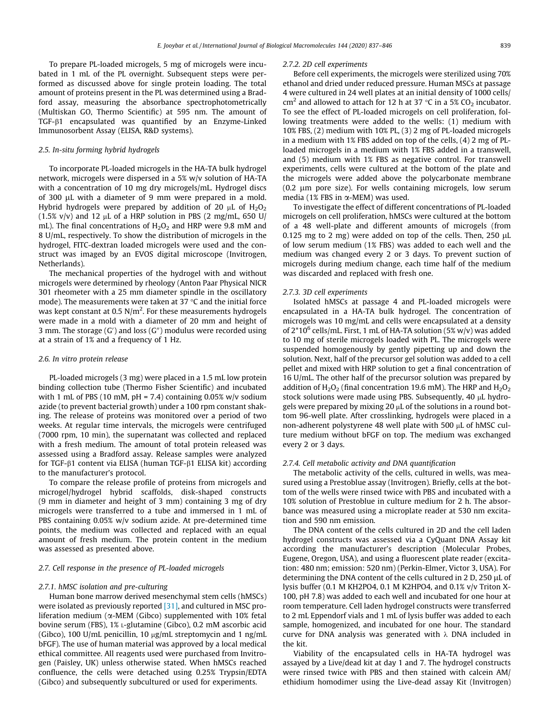To prepare PL-loaded microgels, 5 mg of microgels were incubated in 1 mL of the PL overnight. Subsequent steps were performed as discussed above for single protein loading. The total amount of proteins present in the PL was determined using a Bradford assay, measuring the absorbance spectrophotometrically (Multiskan GO, Thermo Scientific) at 595 nm. The amount of TGF-b1 encapsulated was quantified by an Enzyme-Linked Immunosorbent Assay (ELISA, R&D systems).

### 2.5. In-situ forming hybrid hydrogels

To incorporate PL-loaded microgels in the HA-TA bulk hydrogel network, microgels were dispersed in a 5% w/v solution of HA-TA with a concentration of 10 mg dry microgels/mL. Hydrogel discs of 300 µL with a diameter of 9 mm were prepared in a mold. Hybrid hydrogels were prepared by addition of 20  $\mu$ L of H<sub>2</sub>O<sub>2</sub> (1.5% v/v) and 12  $\mu$ L of a HRP solution in PBS (2 mg/mL, 650 U/ mL). The final concentrations of  $H_2O_2$  and HRP were 9.8 mM and 8 U/mL, respectively. To show the distribution of microgels in the hydrogel, FITC-dextran loaded microgels were used and the construct was imaged by an EVOS digital microscope (Invitrogen, Netherlands).

The mechanical properties of the hydrogel with and without microgels were determined by rheology (Anton Paar Physical NICR 301 rheometer with a 25 mm diameter spindle in the oscillatory mode). The measurements were taken at 37  $\degree$ C and the initial force was kept constant at 0.5 N/m<sup>2</sup>. For these measurements hydrogels were made in a mold with a diameter of 20 mm and height of 3 mm. The storage (G') and loss (G") modulus were recorded using at a strain of 1% and a frequency of 1 Hz.

#### 2.6. In vitro protein release

PL-loaded microgels (3 mg) were placed in a 1.5 mL low protein binding collection tube (Thermo Fisher Scientific) and incubated with 1 mL of PBS (10 mM, pH = 7.4) containing  $0.05\%$  w/v sodium azide (to prevent bacterial growth) under a 100 rpm constant shaking. The release of proteins was monitored over a period of two weeks. At regular time intervals, the microgels were centrifuged (7000 rpm, 10 min), the supernatant was collected and replaced with a fresh medium. The amount of total protein released was assessed using a Bradford assay. Release samples were analyzed for TGF- $\beta$ 1 content via ELISA (human TGF- $\beta$ 1 ELISA kit) according to the manufacturer's protocol.

To compare the release profile of proteins from microgels and microgel/hydrogel hybrid scaffolds, disk-shaped constructs (9 mm in diameter and height of 3 mm) containing 3 mg of dry microgels were transferred to a tube and immersed in 1 mL of PBS containing 0.05% w/v sodium azide. At pre-determined time points, the medium was collected and replaced with an equal amount of fresh medium. The protein content in the medium was assessed as presented above.

## 2.7. Cell response in the presence of PL-loaded microgels

#### 2.7.1. hMSC isolation and pre-culturing

Human bone marrow derived mesenchymal stem cells (hMSCs) were isolated as previously reported [\[31\],](#page-9-0) and cultured in MSC proliferation medium ( $\alpha$ -MEM (Gibco) supplemented with 10% fetal bovine serum (FBS), 1% L-glutamine (Gibco), 0.2 mM ascorbic acid (Gibco), 100 U/mL penicillin, 10  $\mu$ g/mL streptomycin and 1 ng/mL bFGF). The use of human material was approved by a local medical ethical committee. All reagents used were purchased from Invitrogen (Paisley, UK) unless otherwise stated. When hMSCs reached confluence, the cells were detached using 0.25% Trypsin/EDTA (Gibco) and subsequently subcultured or used for experiments.

#### 2.7.2. 2D cell experiments

Before cell experiments, the microgels were sterilized using 70% ethanol and dried under reduced pressure. Human MSCs at passage 4 were cultured in 24 well plates at an initial density of 1000 cells/ cm<sup>2</sup> and allowed to attach for 12 h at 37 °C in a 5% CO<sub>2</sub> incubator. To see the effect of PL-loaded microgels on cell proliferation, following treatments were added to the wells: (1) medium with 10% FBS, (2) medium with 10% PL, (3) 2 mg of PL-loaded microgels in a medium with 1% FBS added on top of the cells, (4) 2 mg of PLloaded microgels in a medium with 1% FBS added in a transwell, and (5) medium with 1% FBS as negative control. For transwell experiments, cells were cultured at the bottom of the plate and the microgels were added above the polycarbonate membrane  $(0.2 \mu m)$  pore size). For wells containing microgels, low serum media (1% FBS in  $\alpha$ -MEM) was used.

To investigate the effect of different concentrations of PL-loaded microgels on cell proliferation, hMSCs were cultured at the bottom of a 48 well-plate and different amounts of microgels (from 0.125 mg to 2 mg) were added on top of the cells. Then, 250  $\mu$ L of low serum medium (1% FBS) was added to each well and the medium was changed every 2 or 3 days. To prevent suction of microgels during medium change, each time half of the medium was discarded and replaced with fresh one.

#### 2.7.3. 3D cell experiments

Isolated hMSCs at passage 4 and PL-loaded microgels were encapsulated in a HA-TA bulk hydrogel. The concentration of microgels was 10 mg/mL and cells were encapsulated at a density of  $2*10^6$  cells/mL. First, 1 mL of HA-TA solution (5% w/v) was added to 10 mg of sterile microgels loaded with PL. The microgels were suspended homogenously by gently pipetting up and down the solution. Next, half of the precursor gel solution was added to a cell pellet and mixed with HRP solution to get a final concentration of 16 U/mL. The other half of the precursor solution was prepared by addition of  $H_2O_2$  (final concentration 19.6 mM). The HRP and  $H_2O_2$ stock solutions were made using PBS. Subsequently, 40  $\mu$ L hydrogels were prepared by mixing 20  $\mu$ L of the solutions in a round bottom 96-well plate. After crosslinking, hydrogels were placed in a non-adherent polystyrene 48 well plate with 500  $\mu$ L of hMSC culture medium without bFGF on top. The medium was exchanged every 2 or 3 days.

## 2.7.4. Cell metabolic activity and DNA quantification

The metabolic activity of the cells, cultured in wells, was measured using a Prestoblue assay (Invitrogen). Briefly, cells at the bottom of the wells were rinsed twice with PBS and incubated with a 10% solution of Prestoblue in culture medium for 2 h. The absorbance was measured using a microplate reader at 530 nm excitation and 590 nm emission.

The DNA content of the cells cultured in 2D and the cell laden hydrogel constructs was assessed via a CyQuant DNA Assay kit according the manufacturer's description (Molecular Probes, Eugene, Oregon, USA), and using a fluorescent plate reader (excitation: 480 nm; emission: 520 nm) (Perkin-Elmer, Victor 3, USA). For determining the DNA content of the cells cultured in 2 D, 250  $\mu$ L of lysis buffer (0.1 M KH2PO4, 0.1 M K2HPO4, and 0.1% v/v Triton X-100, pH 7.8) was added to each well and incubated for one hour at room temperature. Cell laden hydrogel constructs were transferred to 2 mL Eppendorf vials and 1 mL of lysis buffer was added to each sample, homogenized, and incubated for one hour. The standard curve for DNA analysis was generated with  $\lambda$  DNA included in the kit.

Viability of the encapsulated cells in HA-TA hydrogel was assayed by a Live/dead kit at day 1 and 7. The hydrogel constructs were rinsed twice with PBS and then stained with calcein AM/ ethidium homodimer using the Live-dead assay Kit (Invitrogen)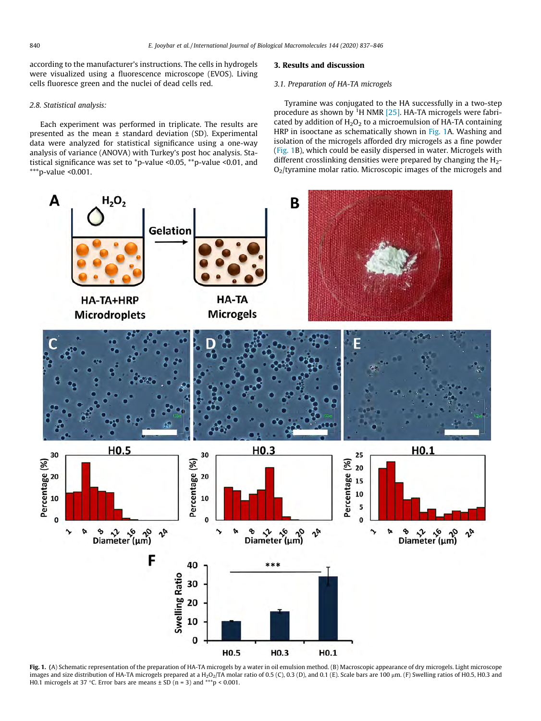<span id="page-3-0"></span>according to the manufacturer's instructions. The cells in hydrogels were visualized using a fluorescence microscope (EVOS). Living cells fluoresce green and the nuclei of dead cells red.

#### 2.8. Statistical analysis:

Each experiment was performed in triplicate. The results are presented as the mean ± standard deviation (SD). Experimental data were analyzed for statistical significance using a one-way analysis of variance (ANOVA) with Turkey's post hoc analysis. Statistical significance was set to \*p-value <0.05, \*\*p-value <0.01, and \*\*\*p-value < $0.001$ .

## 3. Results and discussion

#### 3.1. Preparation of HA-TA microgels

Tyramine was conjugated to the HA successfully in a two-step procedure as shown by  ${}^{1}$ H NMR [\[25\]](#page-9-0). HA-TA microgels were fabricated by addition of  $H_2O_2$  to a microemulsion of HA-TA containing HRP in isooctane as schematically shown in Fig. 1A. Washing and isolation of the microgels afforded dry microgels as a fine powder (Fig. 1B), which could be easily dispersed in water. Microgels with different crosslinking densities were prepared by changing the  $H_2$ -O2/tyramine molar ratio. Microscopic images of the microgels and



Fig. 1. (A) Schematic representation of the preparation of HA-TA microgels by a water in oil emulsion method. (B) Macroscopic appearance of dry microgels. Light microscope images and size distribution of HA-TA microgels prepared at a H<sub>2</sub>O<sub>2</sub>/TA molar ratio of 0.5 (C), 0.3 (D), and 0.1 (E). Scale bars are 100  $\mu$ m. (F) Swelling ratios of H0.5, H0.3 and H0.1 microgels at 37 °C. Error bars are means  $\pm$  SD (n = 3) and \*\*\* p < 0.001.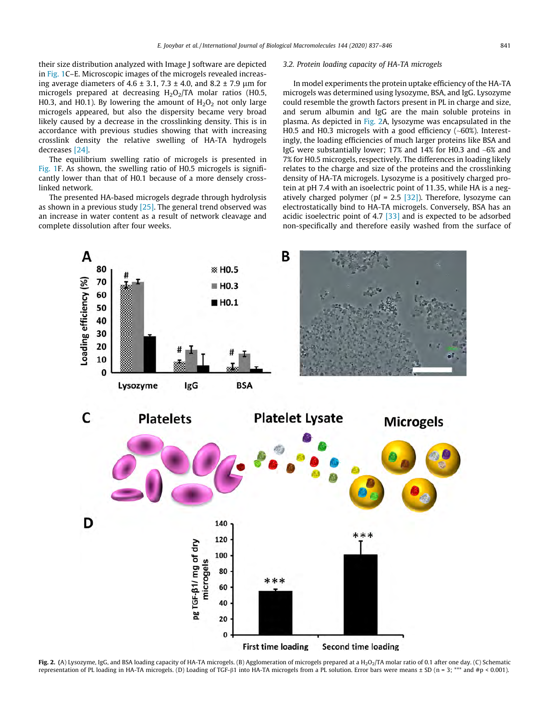<span id="page-4-0"></span>their size distribution analyzed with Image J software are depicted in [Fig. 1](#page-3-0)C–E. Microscopic images of the microgels revealed increasing average diameters of 4.6  $\pm$  3.1, 7.3  $\pm$  4.0, and 8.2  $\pm$  7.9 um for microgels prepared at decreasing  $H_2O_2/TA$  molar ratios (H0.5, H0.3, and H0.1). By lowering the amount of  $H_2O_2$  not only large microgels appeared, but also the dispersity became very broad likely caused by a decrease in the crosslinking density. This is in accordance with previous studies showing that with increasing crosslink density the relative swelling of HA-TA hydrogels decreases [\[24\]](#page-9-0).

The equilibrium swelling ratio of microgels is presented in [Fig. 1F](#page-3-0). As shown, the swelling ratio of H0.5 microgels is significantly lower than that of H0.1 because of a more densely crosslinked network.

The presented HA-based microgels degrade through hydrolysis as shown in a previous study  $[25]$ . The general trend observed was an increase in water content as a result of network cleavage and complete dissolution after four weeks.

## 3.2. Protein loading capacity of HA-TA microgels

In model experiments the protein uptake efficiency of the HA-TA microgels was determined using lysozyme, BSA, and IgG. Lysozyme could resemble the growth factors present in PL in charge and size, and serum albumin and IgG are the main soluble proteins in plasma. As depicted in Fig. 2A, lysozyme was encapsulated in the H0.5 and H0.3 microgels with a good efficiency (~60%). Interestingly, the loading efficiencies of much larger proteins like BSA and IgG were substantially lower; 17% and 14% for H0.3 and ~6% and 7% for H0.5 microgels, respectively. The differences in loading likely relates to the charge and size of the proteins and the crosslinking density of HA-TA microgels. Lysozyme is a positively charged protein at pH 7.4 with an isoelectric point of 11.35, while HA is a neg-atively charged polymer (pI = 2.5 [\[32\]\)](#page-9-0). Therefore, lysozyme can electrostatically bind to HA-TA microgels. Conversely, BSA has an acidic isoelectric point of 4.7  $\left[33\right]$  and is expected to be adsorbed non-specifically and therefore easily washed from the surface of



Fig. 2. (A) Lysozyme, IgG, and BSA loading capacity of HA-TA microgels. (B) Agglomeration of microgels prepared at a H<sub>2</sub>O<sub>2</sub>/TA molar ratio of 0.1 after one day. (C) Schematic representation of PL loading in HA-TA microgels. (D) Loading of TGF- $\beta$ 1 into HA-TA microgels from a PL solution. Error bars were means ± SD (n = 3; \*\*\* and #p < 0.001).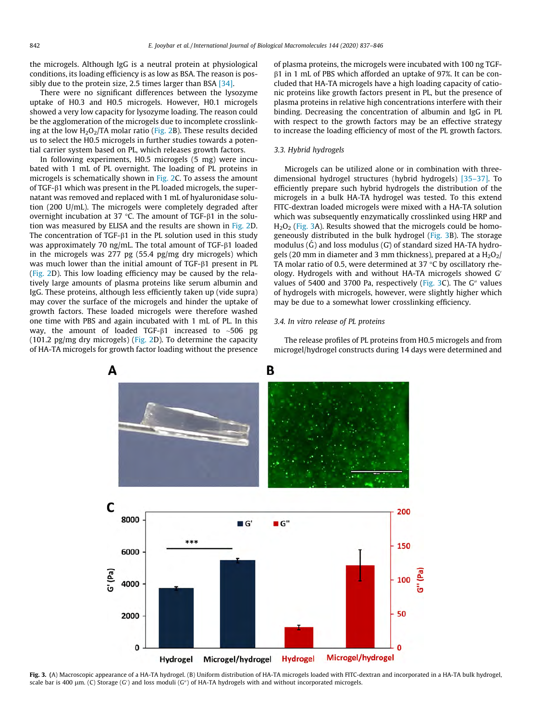the microgels. Although IgG is a neutral protein at physiological conditions, its loading efficiency is as low as BSA. The reason is pos-sibly due to the protein size, 2.5 times larger than BSA [\[34\]](#page-9-0).

There were no significant differences between the lysozyme uptake of H0.3 and H0.5 microgels. However, H0.1 microgels showed a very low capacity for lysozyme loading. The reason could be the agglomeration of the microgels due to incomplete crosslinking at the low  $H_2O_2/TA$  molar ratio ([Fig. 2](#page-4-0)B). These results decided us to select the H0.5 microgels in further studies towards a potential carrier system based on PL, which releases growth factors.

In following experiments, H0.5 microgels (5 mg) were incubated with 1 mL of PL overnight. The loading of PL proteins in microgels is schematically shown in [Fig. 2C](#page-4-0). To assess the amount of TGF- $\beta$ 1 which was present in the PL loaded microgels, the supernatant was removed and replaced with 1 mL of hyaluronidase solution (200 U/mL). The microgels were completely degraded after overnight incubation at 37  $\degree$ C. The amount of TGF- $\beta$ 1 in the solution was measured by ELISA and the results are shown in [Fig. 2D](#page-4-0). The concentration of TGF- $\beta$ 1 in the PL solution used in this study was approximately 70 ng/mL. The total amount of TGF- $\beta$ 1 loaded in the microgels was 277 pg (55.4 pg/mg dry microgels) which was much lower than the initial amount of  $TGF- $\beta$ 1 present in PL$ ([Fig. 2D](#page-4-0)). This low loading efficiency may be caused by the relatively large amounts of plasma proteins like serum albumin and IgG. These proteins, although less efficiently taken up (vide supra) may cover the surface of the microgels and hinder the uptake of growth factors. These loaded microgels were therefore washed one time with PBS and again incubated with 1 mL of PL. In this way, the amount of loaded TGF- $\beta$ 1 increased to ~506 pg (101.2 pg/mg dry microgels) [\(Fig. 2](#page-4-0)D). To determine the capacity of HA-TA microgels for growth factor loading without the presence of plasma proteins, the microgels were incubated with 100 ng TGFb1 in 1 mL of PBS which afforded an uptake of 97%. It can be concluded that HA-TA microgels have a high loading capacity of cationic proteins like growth factors present in PL, but the presence of plasma proteins in relative high concentrations interfere with their binding. Decreasing the concentration of albumin and IgG in PL with respect to the growth factors may be an effective strategy to increase the loading efficiency of most of the PL growth factors.

#### 3.3. Hybrid hydrogels

Microgels can be utilized alone or in combination with threedimensional hydrogel structures (hybrid hydrogels) [\[35–37\].](#page-9-0) To efficiently prepare such hybrid hydrogels the distribution of the microgels in a bulk HA-TA hydrogel was tested. To this extend FITC-dextran loaded microgels were mixed with a HA-TA solution which was subsequently enzymatically crosslinked using HRP and  $H<sub>2</sub>O<sub>2</sub>$  (Fig. 3A). Results showed that the microgels could be homogeneously distributed in the bulk hydrogel (Fig. 3B). The storage modulus  $(\hat{G})$  and loss modulus  $(G)$  of standard sized HA-TA hydrogels (20 mm in diameter and 3 mm thickness), prepared at a  $H_2O_2$ / TA molar ratio of 0.5, were determined at 37  $\degree$ C by oscillatory rheology. Hydrogels with and without HA-TA microgels showed G' values of 5400 and 3700 Pa, respectively (Fig. 3C). The G $\prime\prime$  values of hydrogels with microgels, however, were slightly higher which may be due to a somewhat lower crosslinking efficiency.

#### 3.4. In vitro release of PL proteins

The release profiles of PL proteins from H0.5 microgels and from microgel/hydrogel constructs during 14 days were determined and



Fig. 3. (A) Macroscopic appearance of a HA-TA hydrogel. (B) Uniform distribution of HA-TA microgels loaded with FITC-dextran and incorporated in a HA-TA bulk hydrogel, scale bar is 400 μm. (C) Storage (G′) and loss moduli (G″) of HA-TA hydrogels with and without incorporated microgels.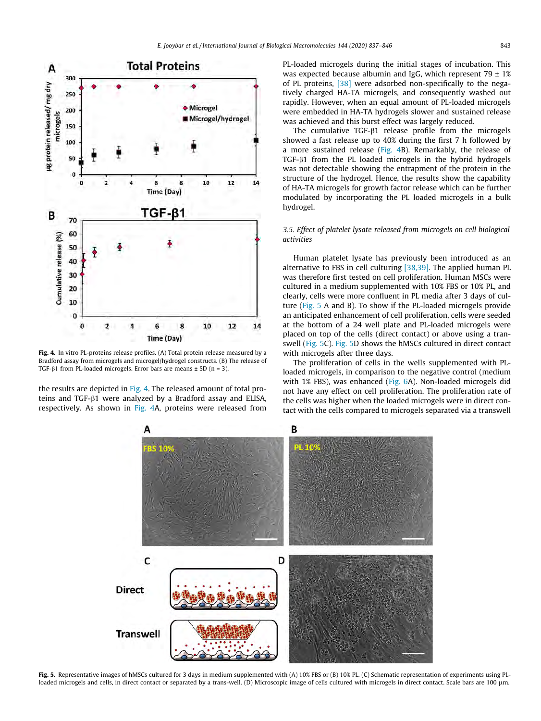

Fig. 4. In vitro PL-proteins release profiles. (A) Total protein release measured by a Bradford assay from microgels and microgel/hydrogel constructs. (B) The release of TGF- $\beta$ 1 from PL-loaded microgels. Error bars are means  $\pm$  SD (n = 3).

the results are depicted in Fig. 4. The released amount of total proteins and TGF-β1 were analyzed by a Bradford assay and ELISA, respectively. As shown in Fig. 4A, proteins were released from PL-loaded microgels during the initial stages of incubation. This was expected because albumin and IgG, which represent  $79 \pm 1\%$ of PL proteins, [\[38\]](#page-9-0) were adsorbed non-specifically to the negatively charged HA-TA microgels, and consequently washed out rapidly. However, when an equal amount of PL-loaded microgels were embedded in HA-TA hydrogels slower and sustained release was achieved and this burst effect was largely reduced.

The cumulative TGF- $\beta$ 1 release profile from the microgels showed a fast release up to 40% during the first 7 h followed by a more sustained release (Fig. 4B). Remarkably, the release of TGF-b1 from the PL loaded microgels in the hybrid hydrogels was not detectable showing the entrapment of the protein in the structure of the hydrogel. Hence, the results show the capability of HA-TA microgels for growth factor release which can be further modulated by incorporating the PL loaded microgels in a bulk hydrogel.

## 3.5. Effect of platelet lysate released from microgels on cell biological activities

Human platelet lysate has previously been introduced as an alternative to FBS in cell culturing [\[38,39\]](#page-9-0). The applied human PL was therefore first tested on cell proliferation. Human MSCs were cultured in a medium supplemented with 10% FBS or 10% PL, and clearly, cells were more confluent in PL media after 3 days of culture (Fig. 5 A and B). To show if the PL-loaded microgels provide an anticipated enhancement of cell proliferation, cells were seeded at the bottom of a 24 well plate and PL-loaded microgels were placed on top of the cells (direct contact) or above using a transwell (Fig. 5C). Fig. 5D shows the hMSCs cultured in direct contact with microgels after three days.

The proliferation of cells in the wells supplemented with PLloaded microgels, in comparison to the negative control (medium with 1% FBS), was enhanced [\(Fig. 6](#page-7-0)A). Non-loaded microgels did not have any effect on cell proliferation. The proliferation rate of the cells was higher when the loaded microgels were in direct contact with the cells compared to microgels separated via a transwell



Fig. 5. Representative images of hMSCs cultured for 3 days in medium supplemented with (A) 10% FBS or (B) 10% PL. (C) Schematic representation of experiments using PLloaded microgels and cells, in direct contact or separated by a trans-well. (D) Microscopic image of cells cultured with microgels in direct contact. Scale bars are 100 µm.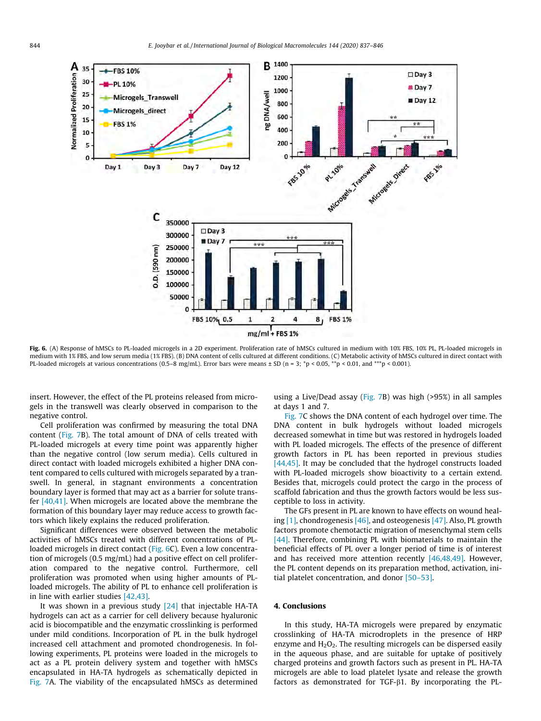<span id="page-7-0"></span>

Fig. 6. (A) Response of hMSCs to PL-loaded microgels in a 2D experiment. Proliferation rate of hMSCs cultured in medium with 10% FBS, 10% PL, PL-loaded microgels in medium with 1% FBS, and low serum media (1% FBS). (B) DNA content of cells cultured at different conditions. (C) Metabolic activity of hMSCs cultured in direct contact with PL-loaded microgels at various concentrations (0.5–8 mg/mL). Error bars were means ± SD (n = 3; \*p < 0.05, \*\*p < 0.01, and \*\*\*p < 0.001).

insert. However, the effect of the PL proteins released from microgels in the transwell was clearly observed in comparison to the negative control.

Cell proliferation was confirmed by measuring the total DNA content ([Fig. 7](#page-8-0)B). The total amount of DNA of cells treated with PL-loaded microgels at every time point was apparently higher than the negative control (low serum media). Cells cultured in direct contact with loaded microgels exhibited a higher DNA content compared to cells cultured with microgels separated by a transwell. In general, in stagnant environments a concentration boundary layer is formed that may act as a barrier for solute transfer  $[40,41]$ . When microgels are located above the membrane the formation of this boundary layer may reduce access to growth factors which likely explains the reduced proliferation.

Significant differences were observed between the metabolic activities of hMSCs treated with different concentrations of PLloaded microgels in direct contact (Fig. 6C). Even a low concentration of microgels (0.5 mg/mL) had a positive effect on cell proliferation compared to the negative control. Furthermore, cell proliferation was promoted when using higher amounts of PLloaded microgels. The ability of PL to enhance cell proliferation is in line with earlier studies [\[42,43\]](#page-9-0).

It was shown in a previous study  $[24]$  that injectable HA-TA hydrogels can act as a carrier for cell delivery because hyaluronic acid is biocompatible and the enzymatic crosslinking is performed under mild conditions. Incorporation of PL in the bulk hydrogel increased cell attachment and promoted chondrogenesis. In following experiments, PL proteins were loaded in the microgels to act as a PL protein delivery system and together with hMSCs encapsulated in HA-TA hydrogels as schematically depicted in [Fig. 7](#page-8-0)A. The viability of the encapsulated hMSCs as determined using a Live/Dead assay [\(Fig. 7](#page-8-0)B) was high (>95%) in all samples at days 1 and 7.

[Fig. 7C](#page-8-0) shows the DNA content of each hydrogel over time. The DNA content in bulk hydrogels without loaded microgels decreased somewhat in time but was restored in hydrogels loaded with PL loaded microgels. The effects of the presence of different growth factors in PL has been reported in previous studies [\[44,45\].](#page-9-0) It may be concluded that the hydrogel constructs loaded with PL-loaded microgels show bioactivity to a certain extend. Besides that, microgels could protect the cargo in the process of scaffold fabrication and thus the growth factors would be less susceptible to loss in activity.

The GFs present in PL are known to have effects on wound healing  $[1]$ , chondrogenesis  $[46]$ , and osteogenesis  $[47]$ . Also, PL growth factors promote chemotactic migration of mesenchymal stem cells [\[44\]](#page-9-0). Therefore, combining PL with biomaterials to maintain the beneficial effects of PL over a longer period of time is of interest and has received more attention recently  $[46,48,49]$ . However, the PL content depends on its preparation method, activation, initial platelet concentration, and donor [\[50–53\]](#page-9-0).

## 4. Conclusions

In this study, HA-TA microgels were prepared by enzymatic crosslinking of HA-TA microdroplets in the presence of HRP enzyme and  $H_2O_2$ . The resulting microgels can be dispersed easily in the aqueous phase, and are suitable for uptake of positively charged proteins and growth factors such as present in PL. HA-TA microgels are able to load platelet lysate and release the growth factors as demonstrated for TGF- $\beta$ 1. By incorporating the PL-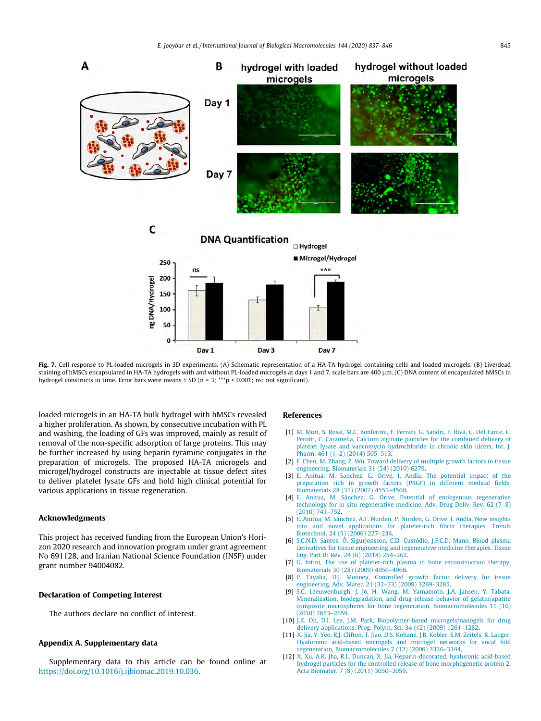<span id="page-8-0"></span>

Fig. 7. Cell response to PL-loaded microgels in 3D experiments. (A) Schematic representation of a HA-TA hydrogel containing cells and loaded microgels. (B) Live/dead staining of hMSCs encapsulated in HA-TA hydrogels with and without PL-loaded microgels at days 1 and 7, scale bars are 400 lm. (C) DNA content of encapsulated hMSCs in hydrogel constructs in time. Error bars were means  $\pm$  SD (n = 3; \*\*\*p < 0.001; ns: not significant).

loaded microgels in an HA-TA bulk hydrogel with hMSCs revealed a higher proliferation. As shown, by consecutive incubation with PL and washing, the loading of GFs was improved, mainly as result of removal of the non-specific adsorption of large proteins. This may be further increased by using heparin tyramine conjugates in the preparation of microgels. The proposed HA-TA microgels and microgel/hydrogel constructs are injectable at tissue defect sites to deliver platelet lysate GFs and hold high clinical potential for various applications in tissue regeneration.

### Acknowledgments

This project has received funding from the European Union's Horizon 2020 research and innovation program under grant agreement No 691128, and Iranian National Science Foundation (INSF) under grant number 94004082.

## Declaration of Competing Interest

The authors declare no conflict of interest.

## Appendix A. Supplementary data

Supplementary data to this article can be found online at [https://doi.org/10.1016/j.ijbiomac.2019.10.036.](https://doi.org/10.1016/j.ijbiomac.2019.10.036)

#### References

- [1] [M. Mori, S. Rossi, M.C. Bonferoni, F. Ferrari, G. Sandri, F. Riva, C. Del Fante, C.](http://refhub.elsevier.com/S0141-8130(19)36477-3/h0005) [Perotti, C. Caramella, Calcium alginate particles for the combined delivery of](http://refhub.elsevier.com/S0141-8130(19)36477-3/h0005) [platelet lysate and vancomycin hydrochloride in chronic skin ulcers, Int. J.](http://refhub.elsevier.com/S0141-8130(19)36477-3/h0005) [Pharm. 461 \(1–2\) \(2014\) 505–513.](http://refhub.elsevier.com/S0141-8130(19)36477-3/h0005)
- [2] [F. Chen, M. Zhang, Z. Wu, Toward delivery of multiple growth factors in tissue](http://refhub.elsevier.com/S0141-8130(19)36477-3/h0010) [engineering, Biomaterials 31 \(24\) \(2010\) 6279.](http://refhub.elsevier.com/S0141-8130(19)36477-3/h0010)
- [3] [E. Anitua, M. Sanchez, G. Orive, I. Andía, The potential impact of the](http://refhub.elsevier.com/S0141-8130(19)36477-3/h0015) [preparation rich in growth factors \(PRGF\) in different medical fields,](http://refhub.elsevier.com/S0141-8130(19)36477-3/h0015) [Biomaterials 28 \(31\) \(2007\) 4551–4560](http://refhub.elsevier.com/S0141-8130(19)36477-3/h0015).
- [4] [E. Anitua, M. Sánchez, G. Orive, Potential of endogenous regenerative](http://refhub.elsevier.com/S0141-8130(19)36477-3/h0020) [technology for in situ regenerative medicine, Adv. Drug Deliv. Rev. 62 \(7–8\)](http://refhub.elsevier.com/S0141-8130(19)36477-3/h0020) [\(2010\) 741–752](http://refhub.elsevier.com/S0141-8130(19)36477-3/h0020).
- [5] [E. Anitua, M. Sánchez, A.T. Nurden, P. Nurden, G. Orive, I. Andía, New insights](http://refhub.elsevier.com/S0141-8130(19)36477-3/h0025) [into and novel applications for platelet-rich fibrin therapies, Trends](http://refhub.elsevier.com/S0141-8130(19)36477-3/h0025) [Biotechnol. 24 \(5\) \(2006\) 227–234.](http://refhub.elsevier.com/S0141-8130(19)36477-3/h0025)
- [6] [S.C.N.D. Santos, Ó. Sigurjonsson, C.D. Custódio, J.F.C.D. Mano, Blood plasma](http://refhub.elsevier.com/S0141-8130(19)36477-3/h0030) [derivatives for tissue engineering and regenerative medicine therapies, Tissue](http://refhub.elsevier.com/S0141-8130(19)36477-3/h0030) [Eng. Part B: Rev. 24 \(6\) \(2018\) 254–262](http://refhub.elsevier.com/S0141-8130(19)36477-3/h0030).
- [7] [G. Intini, The use of platelet-rich plasma in bone reconstruction therapy,](http://refhub.elsevier.com/S0141-8130(19)36477-3/h0035) [Biomaterials 30 \(28\) \(2009\) 4956–4966](http://refhub.elsevier.com/S0141-8130(19)36477-3/h0035).
- [8] [P. Tayalia, D.J. Mooney, Controlled growth factor delivery for tissue](http://refhub.elsevier.com/S0141-8130(19)36477-3/h0040) [engineering, Adv. Mater. 21 \(32–33\) \(2009\) 3269–3285](http://refhub.elsevier.com/S0141-8130(19)36477-3/h0040).
- [9] [S.C. Leeuwenburgh, J. Jo, H. Wang, M. Yamamoto, J.A. Jansen, Y. Tabata,](http://refhub.elsevier.com/S0141-8130(19)36477-3/h0045) [Mineralization, biodegradation, and drug release behavior of gelatin/apatite](http://refhub.elsevier.com/S0141-8130(19)36477-3/h0045) [composite microspheres for bone regeneration, Biomacromolecules 11 \(10\)](http://refhub.elsevier.com/S0141-8130(19)36477-3/h0045) [\(2010\) 2653–2659.](http://refhub.elsevier.com/S0141-8130(19)36477-3/h0045)
- [10] [J.K. Oh, D.I. Lee, J.M. Park, Biopolymer-based microgels/nanogels for drug](http://refhub.elsevier.com/S0141-8130(19)36477-3/h0050) [delivery applications, Prog. Polym. Sci. 34 \(12\) \(2009\) 1261–1282.](http://refhub.elsevier.com/S0141-8130(19)36477-3/h0050)
- [11] [X. Jia, Y. Yeo, R.J. Clifton, T. Jiao, D.S. Kohane, J.B. Kobler, S.M. Zeitels, R. Langer,](http://refhub.elsevier.com/S0141-8130(19)36477-3/h0055) [Hyaluronic acid-based microgels and microgel networks for vocal fold](http://refhub.elsevier.com/S0141-8130(19)36477-3/h0055) [regeneration, Biomacromolecules 7 \(12\) \(2006\) 3336–3344](http://refhub.elsevier.com/S0141-8130(19)36477-3/h0055).
- [12] [X. Xu, A.K. Jha, R.L. Duncan, X. Jia, Heparin-decorated, hyaluronic acid-based](http://refhub.elsevier.com/S0141-8130(19)36477-3/h0060) [hydrogel particles for the controlled release of bone morphogenetic protein 2,](http://refhub.elsevier.com/S0141-8130(19)36477-3/h0060) [Acta Biomater. 7 \(8\) \(2011\) 3050–3059.](http://refhub.elsevier.com/S0141-8130(19)36477-3/h0060)